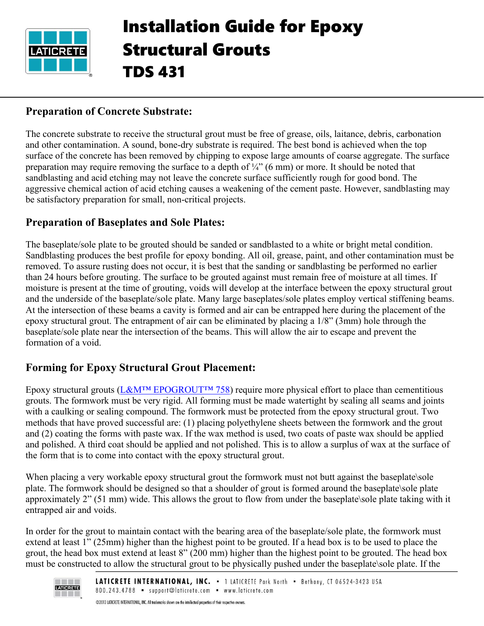

# Installation Guide for Epoxy Structural Grouts TDS 431

#### **Preparation of Concrete Substrate:**

The concrete substrate to receive the structural grout must be free of grease, oils, laitance, debris, carbonation and other contamination. A sound, bone-dry substrate is required. The best bond is achieved when the top surface of the concrete has been removed by chipping to expose large amounts of coarse aggregate. The surface preparation may require removing the surface to a depth of  $\frac{1}{4}$ " (6 mm) or more. It should be noted that sandblasting and acid etching may not leave the concrete surface sufficiently rough for good bond. The aggressive chemical action of acid etching causes a weakening of the cement paste. However, sandblasting may be satisfactory preparation for small, non-critical projects.

#### **Preparation of Baseplates and Sole Plates:**

The baseplate/sole plate to be grouted should be sanded or sandblasted to a white or bright metal condition. Sandblasting produces the best profile for epoxy bonding. All oil, grease, paint, and other contamination must be removed. To assure rusting does not occur, it is best that the sanding or sandblasting be performed no earlier than 24 hours before grouting. The surface to be grouted against must remain free of moisture at all times. If moisture is present at the time of grouting, voids will develop at the interface between the epoxy structural grout and the underside of the baseplate/sole plate. Many large baseplates/sole plates employ vertical stiffening beams. At the intersection of these beams a cavity is formed and air can be entrapped here during the placement of the epoxy structural grout. The entrapment of air can be eliminated by placing a 1/8" (3mm) hole through the baseplate/sole plate near the intersection of the beams. This will allow the air to escape and prevent the formation of a void.

#### **Forming for Epoxy Structural Grout Placement:**

Epoxy structural grouts ([L&M™ EPOGROUT™ 758](https://cdn.laticrete.com/~/media/product-documents/product-data-sheets/lds1769_lm-epogrout-758.ashx)) require more physical effort to place than cementitious grouts. The formwork must be very rigid. All forming must be made watertight by sealing all seams and joints with a caulking or sealing compound. The formwork must be protected from the epoxy structural grout. Two methods that have proved successful are: (1) placing polyethylene sheets between the formwork and the grout and (2) coating the forms with paste wax. If the wax method is used, two coats of paste wax should be applied and polished. A third coat should be applied and not polished. This is to allow a surplus of wax at the surface of the form that is to come into contact with the epoxy structural grout.

When placing a very workable epoxy structural grout the formwork must not butt against the baseplate\sole plate. The formwork should be designed so that a shoulder of grout is formed around the baseplate\sole plate approximately 2" (51 mm) wide. This allows the grout to flow from under the baseplate\sole plate taking with it entrapped air and voids.

In order for the grout to maintain contact with the bearing area of the baseplate/sole plate, the formwork must extend at least 1" (25mm) higher than the highest point to be grouted. If a head box is to be used to place the grout, the head box must extend at least 8" (200 mm) higher than the highest point to be grouted. The head box must be constructed to allow the structural grout to be physically pushed under the baseplate\sole plate. If the

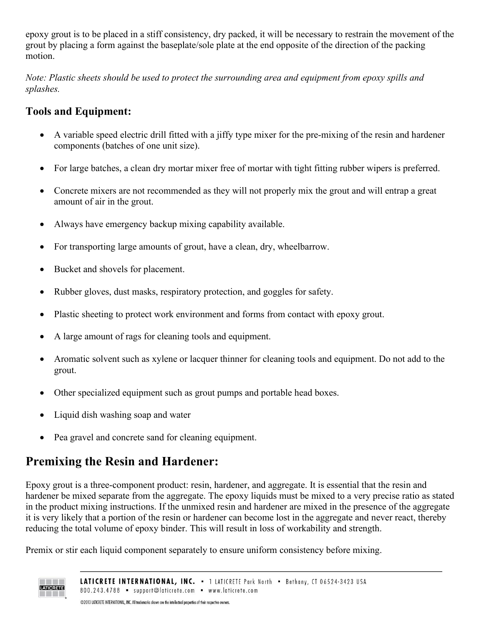epoxy grout is to be placed in a stiff consistency, dry packed, it will be necessary to restrain the movement of the grout by placing a form against the baseplate/sole plate at the end opposite of the direction of the packing motion.

*Note: Plastic sheets should be used to protect the surrounding area and equipment from epoxy spills and splashes.*

# **Tools and Equipment:**

- A variable speed electric drill fitted with a jiffy type mixer for the pre-mixing of the resin and hardener components (batches of one unit size).
- For large batches, a clean dry mortar mixer free of mortar with tight fitting rubber wipers is preferred.
- Concrete mixers are not recommended as they will not properly mix the grout and will entrap a great amount of air in the grout.
- Always have emergency backup mixing capability available.
- For transporting large amounts of grout, have a clean, dry, wheelbarrow.
- Bucket and shovels for placement.
- Rubber gloves, dust masks, respiratory protection, and goggles for safety.
- Plastic sheeting to protect work environment and forms from contact with epoxy grout.
- A large amount of rags for cleaning tools and equipment.
- Aromatic solvent such as xylene or lacquer thinner for cleaning tools and equipment. Do not add to the grout.
- Other specialized equipment such as grout pumps and portable head boxes.
- Liquid dish washing soap and water
- Pea gravel and concrete sand for cleaning equipment.

# **Premixing the Resin and Hardener:**

Epoxy grout is a three-component product: resin, hardener, and aggregate. It is essential that the resin and hardener be mixed separate from the aggregate. The epoxy liquids must be mixed to a very precise ratio as stated in the product mixing instructions. If the unmixed resin and hardener are mixed in the presence of the aggregate it is very likely that a portion of the resin or hardener can become lost in the aggregate and never react, thereby reducing the total volume of epoxy binder. This will result in loss of workability and strength.

Premix or stir each liquid component separately to ensure uniform consistency before mixing.

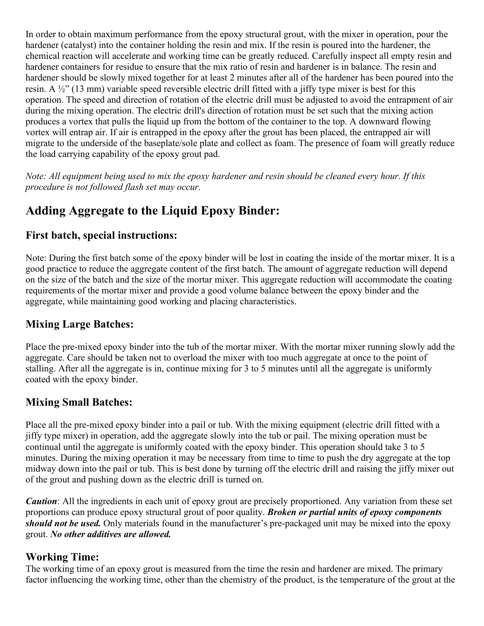In order to obtain maximum performance from the epoxy structural grout, with the mixer in operation, pour the hardener (catalyst) into the container holding the resin and mix. If the resin is poured into the hardener, the chemical reaction will accelerate and working time can be greatly reduced. Carefully inspect all empty resin and hardener containers for residue to ensure that the mix ratio of resin and hardener is in balance. The resin and hardener should be slowly mixed together for at least 2 minutes after all of the hardener has been poured into the resin. A ½" (13 mm) variable speed reversible electric drill fitted with a jiffy type mixer is best for this operation. The speed and direction of rotation of the electric drill must be adjusted to avoid the entrapment of air during the mixing operation. The electric drill's direction of rotation must be set such that the mixing action produces a vortex that pulls the liquid up from the bottom of the container to the top. A downward flowing vortex will entrap air. If air is entrapped in the epoxy after the grout has been placed, the entrapped air will migrate to the underside of the baseplate/sole plate and collect as foam. The presence of foam will greatly reduce the load carrying capability of the epoxy grout pad.

*Note: All equipment being used to mix the epoxy hardener and resin should be cleaned every hour. If this procedure is not followed flash set may occur.*

# **Adding Aggregate to the Liquid Epoxy Binder:**

#### **First batch, special instructions:**

Note: During the first batch some of the epoxy binder will be lost in coating the inside of the mortar mixer. It is a good practice to reduce the aggregate content of the first batch. The amount of aggregate reduction will depend on the size of the batch and the size of the mortar mixer. This aggregate reduction will accommodate the coating requirements of the mortar mixer and provide a good volume balance between the epoxy binder and the aggregate, while maintaining good working and placing characteristics.

#### **Mixing Large Batches:**

Place the pre-mixed epoxy binder into the tub of the mortar mixer. With the mortar mixer running slowly add the aggregate. Care should be taken not to overload the mixer with too much aggregate at once to the point of stalling. After all the aggregate is in, continue mixing for 3 to 5 minutes until all the aggregate is uniformly coated with the epoxy binder.

#### **Mixing Small Batches:**

Place all the pre-mixed epoxy binder into a pail or tub. With the mixing equipment (electric drill fitted with a jiffy type mixer) in operation, add the aggregate slowly into the tub or pail. The mixing operation must be continual until the aggregate is uniformly coated with the epoxy binder. This operation should take 3 to 5 minutes. During the mixing operation it may be necessary from time to time to push the dry aggregate at the top midway down into the pail or tub. This is best done by turning off the electric drill and raising the jiffy mixer out of the grout and pushing down as the electric drill is turned on.

*Caution*: All the ingredients in each unit of epoxy grout are precisely proportioned. Any variation from these set proportions can produce epoxy structural grout of poor quality. *Broken or partial units of epoxy components should not be used.* Only materials found in the manufacturer's pre-packaged unit may be mixed into the epoxy grout. *No other additives are allowed.*

#### **Working Time:**

The working time of an epoxy grout is measured from the time the resin and hardener are mixed. The primary factor influencing the working time, other than the chemistry of the product, is the temperature of the grout at the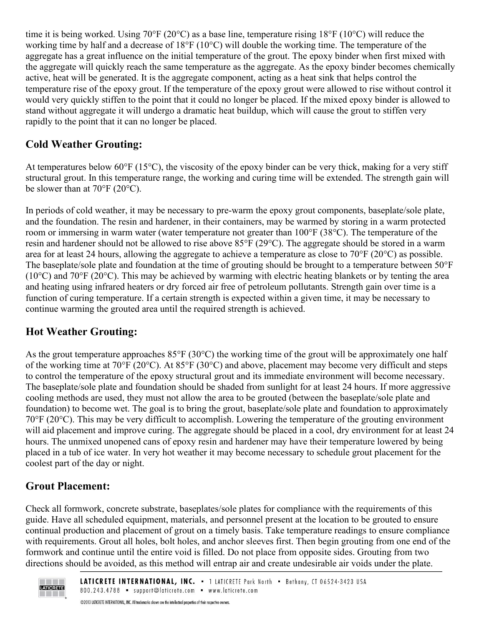time it is being worked. Using  $70^{\circ}F(20^{\circ}C)$  as a base line, temperature rising  $18^{\circ}F(10^{\circ}C)$  will reduce the working time by half and a decrease of 18°F (10°C) will double the working time. The temperature of the aggregate has a great influence on the initial temperature of the grout. The epoxy binder when first mixed with the aggregate will quickly reach the same temperature as the aggregate. As the epoxy binder becomes chemically active, heat will be generated. It is the aggregate component, acting as a heat sink that helps control the temperature rise of the epoxy grout. If the temperature of the epoxy grout were allowed to rise without control it would very quickly stiffen to the point that it could no longer be placed. If the mixed epoxy binder is allowed to stand without aggregate it will undergo a dramatic heat buildup, which will cause the grout to stiffen very rapidly to the point that it can no longer be placed.

# **Cold Weather Grouting:**

At temperatures below  $60^{\circ}F(15^{\circ}C)$ , the viscosity of the epoxy binder can be very thick, making for a very stiff structural grout. In this temperature range, the working and curing time will be extended. The strength gain will be slower than at  $70^{\circ}$ F (20 $^{\circ}$ C).

In periods of cold weather, it may be necessary to pre-warm the epoxy grout components, baseplate/sole plate, and the foundation. The resin and hardener, in their containers, may be warmed by storing in a warm protected room or immersing in warm water (water temperature not greater than 100°F (38°C). The temperature of the resin and hardener should not be allowed to rise above 85°F (29°C). The aggregate should be stored in a warm area for at least 24 hours, allowing the aggregate to achieve a temperature as close to  $70^{\circ}$ F (20 $^{\circ}$ C) as possible. The baseplate/sole plate and foundation at the time of grouting should be brought to a temperature between 50°F ( $10^{\circ}$ C) and  $70^{\circ}$ F ( $20^{\circ}$ C). This may be achieved by warming with electric heating blankets or by tenting the area and heating using infrared heaters or dry forced air free of petroleum pollutants. Strength gain over time is a function of curing temperature. If a certain strength is expected within a given time, it may be necessary to continue warming the grouted area until the required strength is achieved.

# **Hot Weather Grouting:**

As the grout temperature approaches  $85^{\circ}F(30^{\circ}C)$  the working time of the grout will be approximately one half of the working time at 70°F (20°C). At 85°F (30°C) and above, placement may become very difficult and steps to control the temperature of the epoxy structural grout and its immediate environment will become necessary. The baseplate/sole plate and foundation should be shaded from sunlight for at least 24 hours. If more aggressive cooling methods are used, they must not allow the area to be grouted (between the baseplate/sole plate and foundation) to become wet. The goal is to bring the grout, baseplate/sole plate and foundation to approximately 70°F (20°C). This may be very difficult to accomplish. Lowering the temperature of the grouting environment will aid placement and improve curing. The aggregate should be placed in a cool, dry environment for at least 24 hours. The unmixed unopened cans of epoxy resin and hardener may have their temperature lowered by being placed in a tub of ice water. In very hot weather it may become necessary to schedule grout placement for the coolest part of the day or night.

# **Grout Placement:**

Check all formwork, concrete substrate, baseplates/sole plates for compliance with the requirements of this guide. Have all scheduled equipment, materials, and personnel present at the location to be grouted to ensure continual production and placement of grout on a timely basis. Take temperature readings to ensure compliance with requirements. Grout all holes, bolt holes, and anchor sleeves first. Then begin grouting from one end of the formwork and continue until the entire void is filled. Do not place from opposite sides. Grouting from two directions should be avoided, as this method will entrap air and create undesirable air voids under the plate.



@2013 LATICRETE INTERNATIONAL, INC. All trademarks shown are the intellectual properties of their respective owners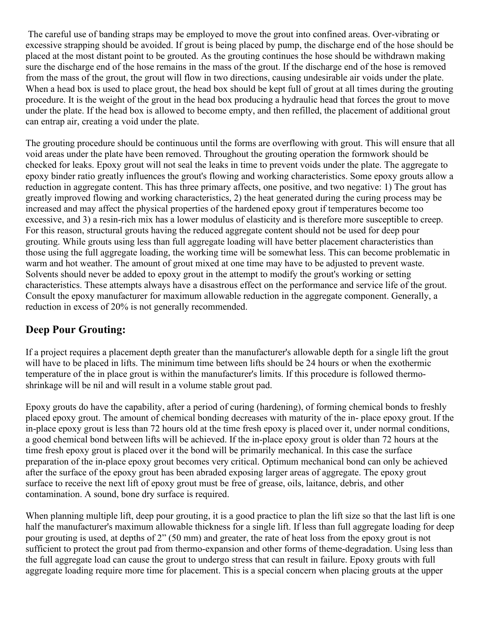The careful use of banding straps may be employed to move the grout into confined areas. Over-vibrating or excessive strapping should be avoided. If grout is being placed by pump, the discharge end of the hose should be placed at the most distant point to be grouted. As the grouting continues the hose should be withdrawn making sure the discharge end of the hose remains in the mass of the grout. If the discharge end of the hose is removed from the mass of the grout, the grout will flow in two directions, causing undesirable air voids under the plate. When a head box is used to place grout, the head box should be kept full of grout at all times during the grouting procedure. It is the weight of the grout in the head box producing a hydraulic head that forces the grout to move under the plate. If the head box is allowed to become empty, and then refilled, the placement of additional grout can entrap air, creating a void under the plate.

The grouting procedure should be continuous until the forms are overflowing with grout. This will ensure that all void areas under the plate have been removed. Throughout the grouting operation the formwork should be checked for leaks. Epoxy grout will not seal the leaks in time to prevent voids under the plate. The aggregate to epoxy binder ratio greatly influences the grout's flowing and working characteristics. Some epoxy grouts allow a reduction in aggregate content. This has three primary affects, one positive, and two negative: 1) The grout has greatly improved flowing and working characteristics, 2) the heat generated during the curing process may be increased and may affect the physical properties of the hardened epoxy grout if temperatures become too excessive, and 3) a resin-rich mix has a lower modulus of elasticity and is therefore more susceptible to creep. For this reason, structural grouts having the reduced aggregate content should not be used for deep pour grouting. While grouts using less than full aggregate loading will have better placement characteristics than those using the full aggregate loading, the working time will be somewhat less. This can become problematic in warm and hot weather. The amount of grout mixed at one time may have to be adjusted to prevent waste. Solvents should never be added to epoxy grout in the attempt to modify the grout's working or setting characteristics. These attempts always have a disastrous effect on the performance and service life of the grout. Consult the epoxy manufacturer for maximum allowable reduction in the aggregate component. Generally, a reduction in excess of 20% is not generally recommended.

## **Deep Pour Grouting:**

If a project requires a placement depth greater than the manufacturer's allowable depth for a single lift the grout will have to be placed in lifts. The minimum time between lifts should be 24 hours or when the exothermic temperature of the in place grout is within the manufacturer's limits. If this procedure is followed thermoshrinkage will be nil and will result in a volume stable grout pad.

Epoxy grouts do have the capability, after a period of curing (hardening), of forming chemical bonds to freshly placed epoxy grout. The amount of chemical bonding decreases with maturity of the in- place epoxy grout. If the in-place epoxy grout is less than 72 hours old at the time fresh epoxy is placed over it, under normal conditions, a good chemical bond between lifts will be achieved. If the in-place epoxy grout is older than 72 hours at the time fresh epoxy grout is placed over it the bond will be primarily mechanical. In this case the surface preparation of the in-place epoxy grout becomes very critical. Optimum mechanical bond can only be achieved after the surface of the epoxy grout has been abraded exposing larger areas of aggregate. The epoxy grout surface to receive the next lift of epoxy grout must be free of grease, oils, laitance, debris, and other contamination. A sound, bone dry surface is required.

When planning multiple lift, deep pour grouting, it is a good practice to plan the lift size so that the last lift is one half the manufacturer's maximum allowable thickness for a single lift. If less than full aggregate loading for deep pour grouting is used, at depths of 2" (50 mm) and greater, the rate of heat loss from the epoxy grout is not sufficient to protect the grout pad from thermo-expansion and other forms of theme-degradation. Using less than the full aggregate load can cause the grout to undergo stress that can result in failure. Epoxy grouts with full aggregate loading require more time for placement. This is a special concern when placing grouts at the upper